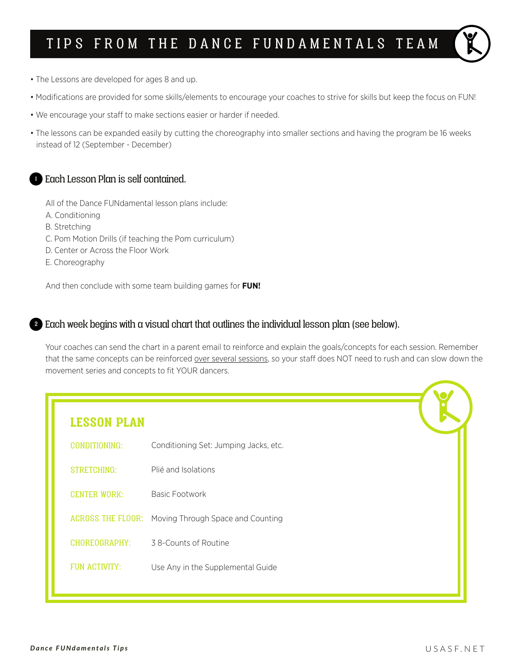# TIPS FROM THE DANCE FUNDAMENTALS TEAM

- The Lessons are developed for ages 8 and up.
- Modifications are provided for some skills/elements to encourage your coaches to strive for skills but keep the focus on FUN!
- We encourage your staff to make sections easier or harder if needed.
- The lessons can be expanded easily by cutting the choreography into smaller sections and having the program be 16 weeks instead of 12 (September - December)

## <sup>1</sup> Each Lesson Plan is self contained.

All of the Dance FUNdamental lesson plans include:

- A. Conditioning
- B. Stretching
- C. Pom Motion Drills (if teaching the Pom curriculum)
- D. Center or Across the Floor Work
- E. Choreography

And then conclude with some team building games for **FUN!**

### <sup>2</sup> Each week begins with a visual chart that outlines the individual lesson plan (see below).

Your coaches can send the chart in a parent email to reinforce and explain the goals/concepts for each session. Remember that the same concepts can be reinforced over several sessions, so your staff does NOT need to rush and can slow down the movement series and concepts to fit YOUR dancers.

| <b>LESSON PLAN</b>   |                                                     |  |
|----------------------|-----------------------------------------------------|--|
| CONDITIONING:        | Conditioning Set: Jumping Jacks, etc.               |  |
| <b>STRETCHING:</b>   | Plié and Isolations                                 |  |
| <b>CENTER WORK:</b>  | <b>Basic Footwork</b>                               |  |
|                      | ACROSS THE FLOOR: Moving Through Space and Counting |  |
| CHOREOGRAPHY:        | 38-Counts of Routine                                |  |
| <b>FUN ACTIVITY:</b> | Use Any in the Supplemental Guide                   |  |